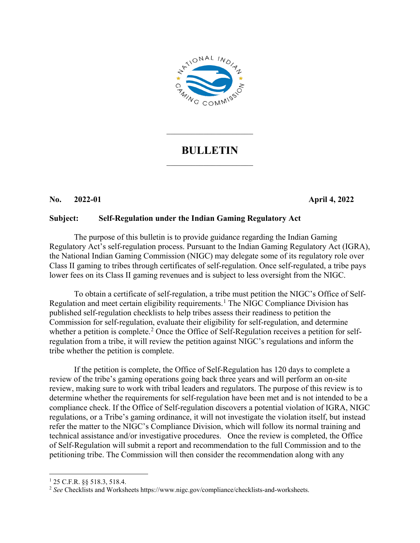

## **BULLETIN**  $\mathcal{L}_\text{max}$  , where  $\mathcal{L}_\text{max}$

 $\overline{\phantom{a}}$  . The set of the set of the set of the set of the set of the set of the set of the set of the set of the set of the set of the set of the set of the set of the set of the set of the set of the set of the set o

## **No. 2022-01 April 4, 2022**

## **Subject: Self-Regulation under the Indian Gaming Regulatory Act**

The purpose of this bulletin is to provide guidance regarding the Indian Gaming Regulatory Act's self-regulation process. Pursuant to the Indian Gaming Regulatory Act (IGRA), the National Indian Gaming Commission (NIGC) may delegate some of its regulatory role over Class II gaming to tribes through certificates of self-regulation. Once self-regulated, a tribe pays lower fees on its Class II gaming revenues and is subject to less oversight from the NIGC.

To obtain a certificate of self-regulation, a tribe must petition the NIGC's Office of Self-Regulation and meet certain eligibility requirements.<sup>[1](#page-0-0)</sup> The NIGC Compliance Division has published self-regulation checklists to help tribes assess their readiness to petition the Commission for self-regulation, evaluate their eligibility for self-regulation, and determine whether a petition is complete.<sup>[2](#page-0-1)</sup> Once the Office of Self-Regulation receives a petition for selfregulation from a tribe, it will review the petition against NIGC's regulations and inform the tribe whether the petition is complete.

If the petition is complete, the Office of Self-Regulation has 120 days to complete a review of the tribe's gaming operations going back three years and will perform an on-site review, making sure to work with tribal leaders and regulators. The purpose of this review is to determine whether the requirements for self-regulation have been met and is not intended to be a compliance check. If the Office of Self-regulation discovers a potential violation of IGRA, NIGC regulations, or a Tribe's gaming ordinance, it will not investigate the violation itself, but instead refer the matter to the NIGC's Compliance Division, which will follow its normal training and technical assistance and/or investigative procedures. Once the review is completed, the Office of Self-Regulation will submit a report and recommendation to the full Commission and to the petitioning tribe. The Commission will then consider the recommendation along with any

<span id="page-0-0"></span> <sup>1</sup> 25 C.F.R. §§ 518.3, 518.4.

<span id="page-0-1"></span><sup>2</sup> *See* Checklists and Worksheets https://www.nigc.gov/compliance/checklists-and-worksheets.